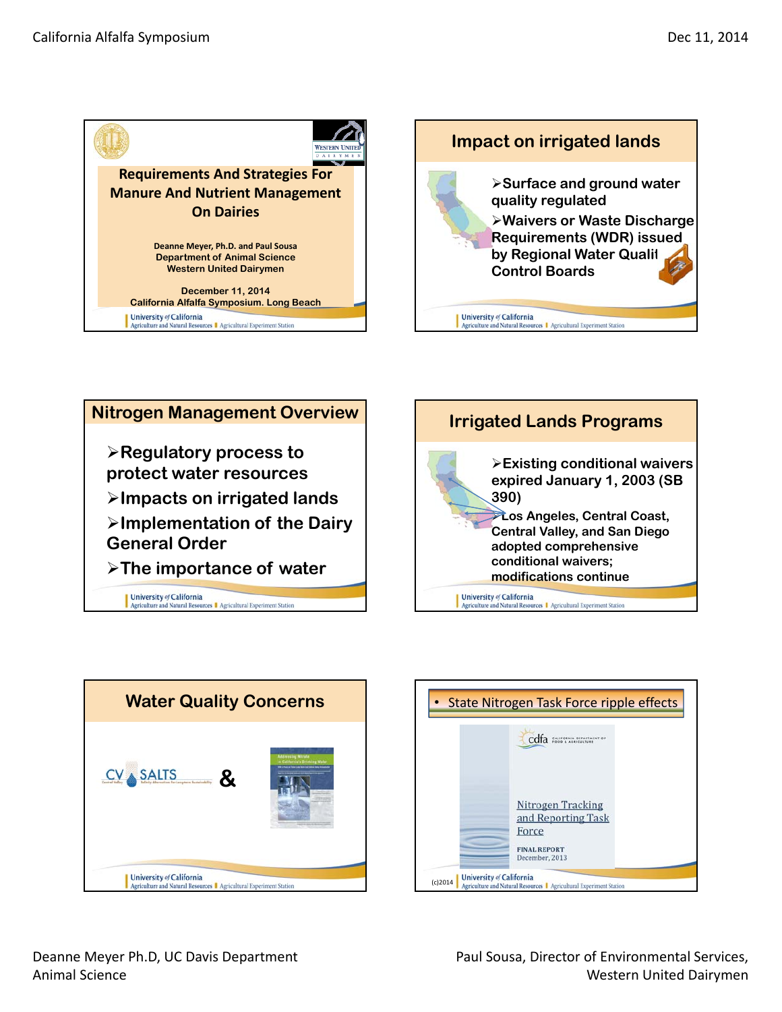









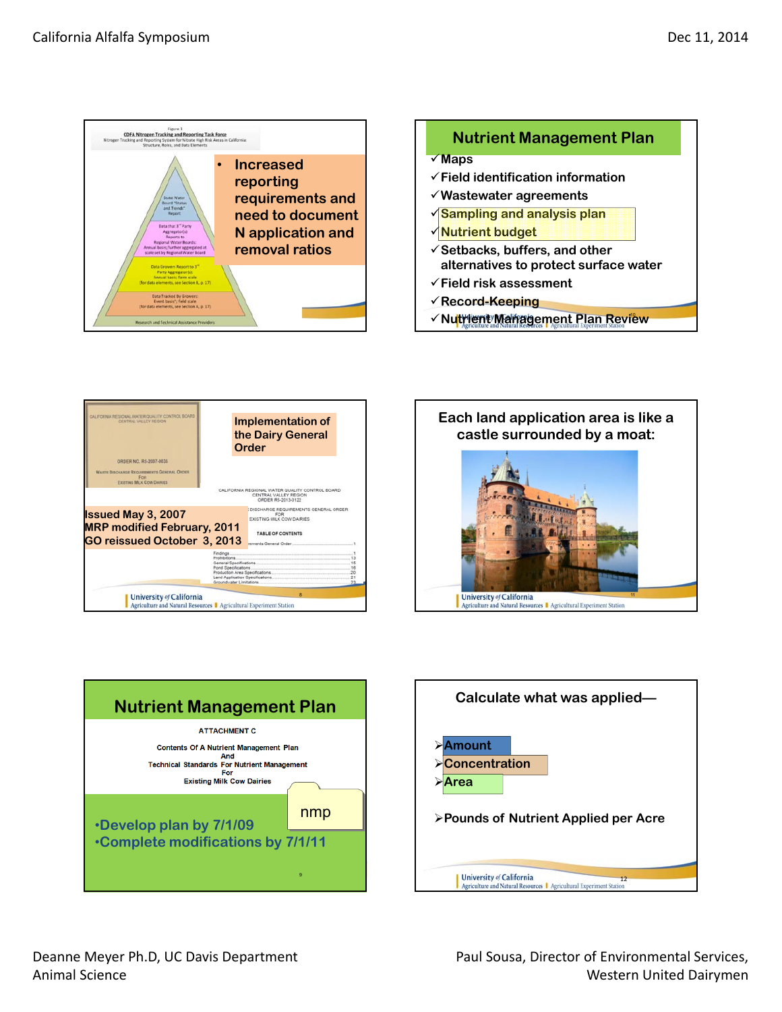



- **Field risk assessment**
- **Record-Keeping**
- **V Nutrient Management Plan Review**